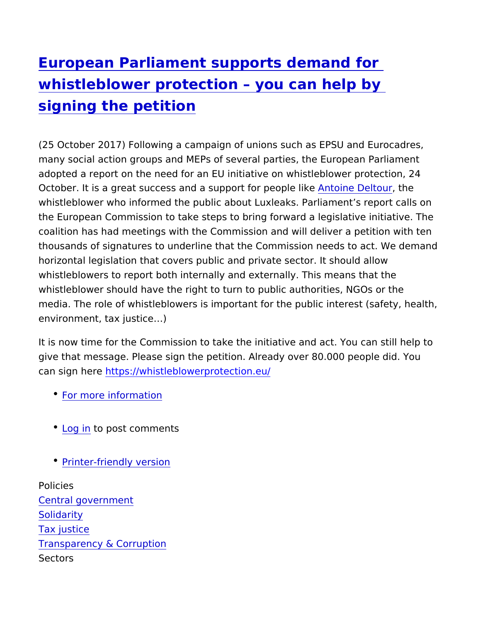## [European Parliament supports dem](https://www.epsu.org/article/european-parliament-supports-demand-whistleblower-protection-you-can-help-signing-petition)and for [whistleblower protection you can](https://www.epsu.org/article/european-parliament-supports-demand-whistleblower-protection-you-can-help-signing-petition) help by [signing the peti](https://www.epsu.org/article/european-parliament-supports-demand-whistleblower-protection-you-can-help-signing-petition)tion

(25 October 2017) Following a campaign of unions such as EPSU many social action groups and MEPs of several parties, the Europ adopted a report on the need for an EU initiative on whistleblowe October. It is a great success and a suppoAmttoform ep Doept to bleike whistleblower who informed the public about Luxleaks. Parliament the European Commission to take steps to bring forward a legisla coalition has had meetings with the Commission and will deliver a thousands of signatures to underline that the Commission needs t horizontal legislation that covers public and private sector. It sho whistleblowers to report both internally and externally. This mear whistleblower should have the right to turn to public authorities, media. The role of whistleblowers is important for the public inte environment, tax justice &)

It is now time for the Commission to take the initiative and act. Y give that message. Please sign the petition. Already over 80.000 can sign hetrous://whistleblowerprotection.eu/

- [For more inform](http://www.eurocadres.eu/news/whistleblower-protection-supported-by-the-european-parliament/)ation
- [Log](https://www.epsu.org/user/login?destination=/article/european-parliament-supports-demand-whistleblower-protection-you-can-help-signing-petition#comment-form) ino post comments
- [Printer-friendly](https://www.epsu.org/entityprint/pdf/node/10340) version

Policies [Central govern](https://www.epsu.org/policies/central-government)ment [Solidar](https://www.epsu.org/policies/solidarity)ity [Tax jus](https://www.epsu.org/policies/tax-justice-0)tice [Transparency & Co](https://www.epsu.org/policies/transparency-corruption)rruption Sectors